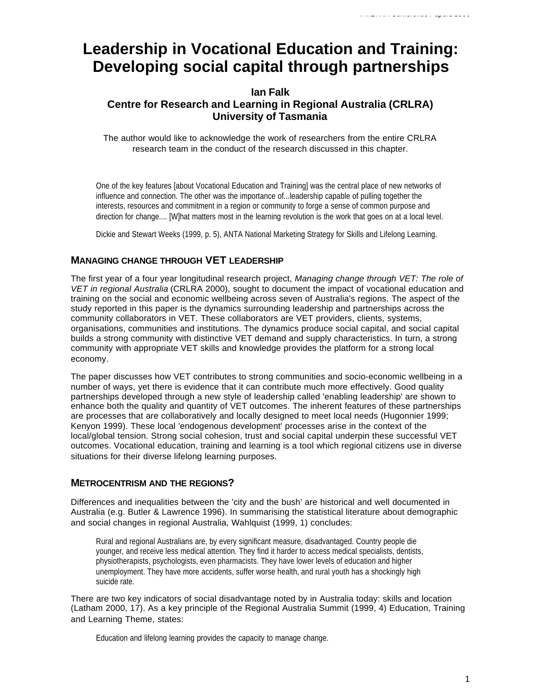# **Leadership in Vocational Education and Training: Developing social capital through partnerships**

# **Ian Falk Centre for Research and Learning in Regional Australia (CRLRA) University of Tasmania**

The author would like to acknowledge the work of researchers from the entire CRLRA research team in the conduct of the research discussed in this chapter.

One of the key features [about Vocational Education and Training] was the central place of new networks of influence and connection. The other was the importance of...leadership capable of pulling together the interests, resources and commitment in a region or community to forge a sense of common purpose and direction for change.... [W]hat matters most in the learning revolution is the work that goes on at a local level.

Dickie and Stewart Weeks (1999, p. 5), ANTA National Marketing Strategy for Skills and Lifelong Learning.

## **MANAGING CHANGE THROUGH VET LEADERSHIP**

The first year of a four year longitudinal research project, *Managing change through VET: The role of VET in regional Australia* (CRLRA 2000), sought to document the impact of vocational education and training on the social and economic wellbeing across seven of Australia's regions. The aspect of the study reported in this paper is the dynamics surrounding leadership and partnerships across the community collaborators in VET. These collaborators are VET providers, clients, systems, organisations, communities and institutions. The dynamics produce social capital, and social capital builds a strong community with distinctive VET demand and supply characteristics. In turn, a strong community with appropriate VET skills and knowledge provides the platform for a strong local economy.

The paper discusses how VET contributes to strong communities and socio-economic wellbeing in a number of ways, yet there is evidence that it can contribute much more effectively. Good quality partnerships developed through a new style of leadership called 'enabling leadership' are shown to enhance both the quality and quantity of VET outcomes. The inherent features of these partnerships are processes that are collaboratively and locally designed to meet local needs (Hugonnier 1999; Kenyon 1999). These local 'endogenous development' processes arise in the context of the local/global tension. Strong social cohesion, trust and social capital underpin these successful VET outcomes. Vocational education, training and learning is a tool which regional citizens use in diverse situations for their diverse lifelong learning purposes.

#### **METROCENTRISM AND THE REGIONS?**

Differences and inequalities between the 'city and the bush' are historical and well documented in Australia (e.g. Butler & Lawrence 1996). In summarising the statistical literature about demographic and social changes in regional Australia, Wahlquist (1999, 1) concludes:

Rural and regional Australians are, by every significant measure, disadvantaged. Country people die younger, and receive less medical attention. They find it harder to access medical specialists, dentists, physiotherapists, psychologists, even pharmacists. They have lower levels of education and higher unemployment. They have more accidents, suffer worse health, and rural youth has a shockingly high suicide rate.

There are two key indicators of social disadvantage noted by in Australia today: skills and location (Latham 2000, 17). As a key principle of the Regional Australia Summit (1999, 4) Education, Training and Learning Theme, states:

Education and lifelong learning provides the capacity to manage change.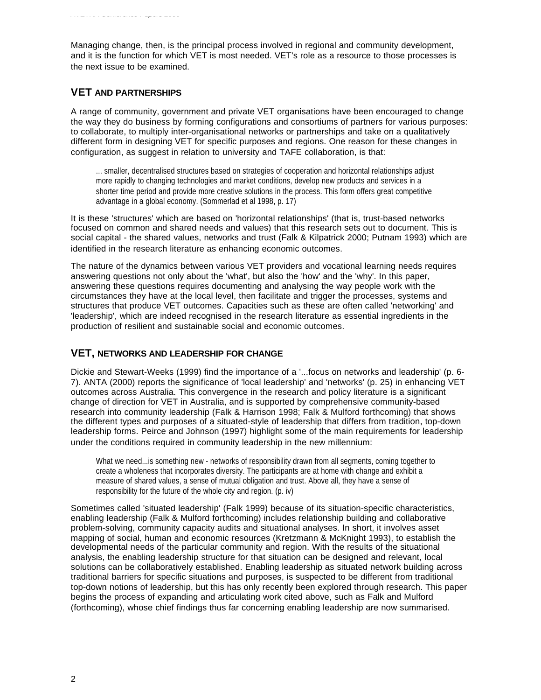Managing change, then, is the principal process involved in regional and community development, and it is the function for which VET is most needed. VET's role as a resource to those processes is the next issue to be examined.

## **VET AND PARTNERSHIPS**

A range of community, government and private VET organisations have been encouraged to change the way they do business by forming configurations and consortiums of partners for various purposes: to collaborate, to multiply inter-organisational networks or partnerships and take on a qualitatively different form in designing VET for specific purposes and regions. One reason for these changes in configuration, as suggest in relation to university and TAFE collaboration, is that:

... smaller, decentralised structures based on strategies of cooperation and horizontal relationships adjust more rapidly to changing technologies and market conditions, develop new products and services in a shorter time period and provide more creative solutions in the process. This form offers great competitive advantage in a global economy. (Sommerlad et al 1998, p. 17)

It is these 'structures' which are based on 'horizontal relationships' (that is, trust-based networks focused on common and shared needs and values) that this research sets out to document. This is social capital - the shared values, networks and trust (Falk & Kilpatrick 2000; Putnam 1993) which are identified in the research literature as enhancing economic outcomes.

The nature of the dynamics between various VET providers and vocational learning needs requires answering questions not only about the 'what', but also the 'how' and the 'why'. In this paper, answering these questions requires documenting and analysing the way people work with the circumstances they have at the local level, then facilitate and trigger the processes, systems and structures that produce VET outcomes. Capacities such as these are often called 'networking' and 'leadership', which are indeed recognised in the research literature as essential ingredients in the production of resilient and sustainable social and economic outcomes.

## **VET, NETWORKS AND LEADERSHIP FOR CHANGE**

Dickie and Stewart-Weeks (1999) find the importance of a '...focus on networks and leadership' (p. 6- 7). ANTA (2000) reports the significance of 'local leadership' and 'networks' (p. 25) in enhancing VET outcomes across Australia. This convergence in the research and policy literature is a significant change of direction for VET in Australia, and is supported by comprehensive community-based research into community leadership (Falk & Harrison 1998; Falk & Mulford forthcoming) that shows the different types and purposes of a situated-style of leadership that differs from tradition, top-down leadership forms. Peirce and Johnson (1997) highlight some of the main requirements for leadership under the conditions required in community leadership in the new millennium:

What we need...is something new - networks of responsibility drawn from all segments, coming together to create a wholeness that incorporates diversity. The participants are at home with change and exhibit a measure of shared values, a sense of mutual obligation and trust. Above all, they have a sense of responsibility for the future of the whole city and region. (p. iv)

Sometimes called 'situated leadership' (Falk 1999) because of its situation-specific characteristics, enabling leadership (Falk & Mulford forthcoming) includes relationship building and collaborative problem-solving, community capacity audits and situational analyses. In short, it involves asset mapping of social, human and economic resources (Kretzmann & McKnight 1993), to establish the developmental needs of the particular community and region. With the results of the situational analysis, the enabling leadership structure for that situation can be designed and relevant, local solutions can be collaboratively established. Enabling leadership as situated network building across traditional barriers for specific situations and purposes, is suspected to be different from traditional top-down notions of leadership, but this has only recently been explored through research. This paper begins the process of expanding and articulating work cited above, such as Falk and Mulford (forthcoming), whose chief findings thus far concerning enabling leadership are now summarised.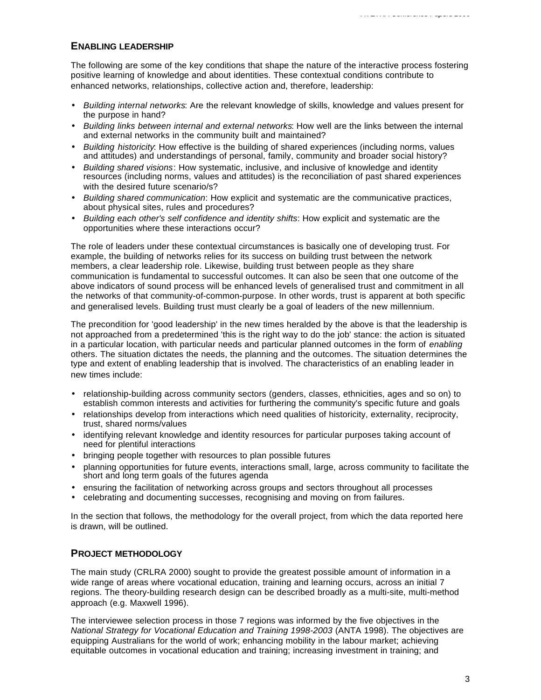The following are some of the key conditions that shape the nature of the interactive process fostering positive learning of knowledge and about identities. These contextual conditions contribute to enhanced networks, relationships, collective action and, therefore, leadership:

*AVETRA Conference Papers 2000*

- *Building internal networks*: Are the relevant knowledge of skills, knowledge and values present for the purpose in hand?
- *Building links between internal and external networks*: How well are the links between the internal and external networks in the community built and maintained?
- *Building historicity*: How effective is the building of shared experiences (including norms, values and attitudes) and understandings of personal, family, community and broader social history?
- *Building shared visions*: How systematic, inclusive, and inclusive of knowledge and identity resources (including norms, values and attitudes) is the reconciliation of past shared experiences with the desired future scenario/s?
- *Building shared communication*: How explicit and systematic are the communicative practices, about physical sites, rules and procedures?
- *Building each other's self confidence and identity shifts*: How explicit and systematic are the opportunities where these interactions occur?

The role of leaders under these contextual circumstances is basically one of developing trust. For example, the building of networks relies for its success on building trust between the network members, a clear leadership role. Likewise, building trust between people as they share communication is fundamental to successful outcomes. It can also be seen that one outcome of the above indicators of sound process will be enhanced levels of generalised trust and commitment in all the networks of that community-of-common-purpose. In other words, trust is apparent at both specific and generalised levels. Building trust must clearly be a goal of leaders of the new millennium.

The precondition for 'good leadership' in the new times heralded by the above is that the leadership is not approached from a predetermined 'this is the right way to do the job' stance: the action is situated in a particular location, with particular needs and particular planned outcomes in the form of *enabling* others. The situation dictates the needs, the planning and the outcomes. The situation determines the type and extent of enabling leadership that is involved. The characteristics of an enabling leader in new times include:

- relationship-building across community sectors (genders, classes, ethnicities, ages and so on) to establish common interests and activities for furthering the community's specific future and goals
- relationships develop from interactions which need qualities of historicity, externality, reciprocity, trust, shared norms/values
- identifying relevant knowledge and identity resources for particular purposes taking account of need for plentiful interactions
- bringing people together with resources to plan possible futures
- planning opportunities for future events, interactions small, large, across community to facilitate the short and long term goals of the futures agenda
- ensuring the facilitation of networking across groups and sectors throughout all processes
- celebrating and documenting successes, recognising and moving on from failures.

In the section that follows, the methodology for the overall project, from which the data reported here is drawn, will be outlined.

## **PROJECT METHODOLOGY**

The main study (CRLRA 2000) sought to provide the greatest possible amount of information in a wide range of areas where vocational education, training and learning occurs, across an initial 7 regions. The theory-building research design can be described broadly as a multi-site, multi-method approach (e.g. Maxwell 1996).

The interviewee selection process in those 7 regions was informed by the five objectives in the *National Strategy for Vocational Education and Training 1998-2003* (ANTA 1998). The objectives are equipping Australians for the world of work; enhancing mobility in the labour market; achieving equitable outcomes in vocational education and training; increasing investment in training; and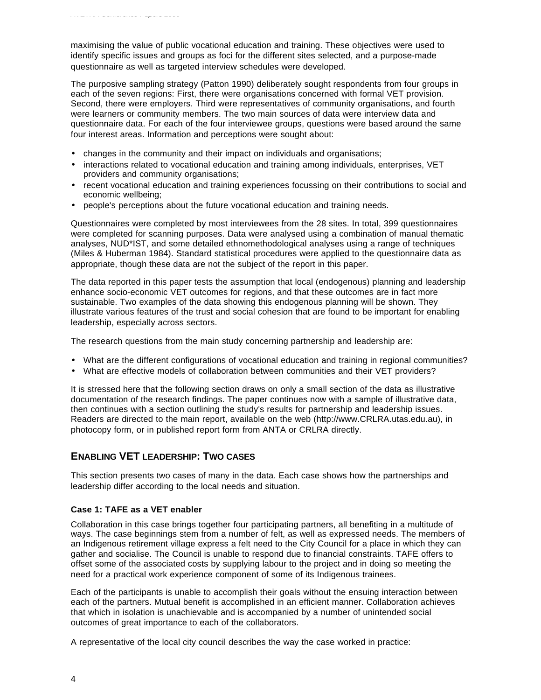maximising the value of public vocational education and training. These objectives were used to identify specific issues and groups as foci for the different sites selected, and a purpose-made questionnaire as well as targeted interview schedules were developed.

The purposive sampling strategy (Patton 1990) deliberately sought respondents from four groups in each of the seven regions: First, there were organisations concerned with formal VET provision. Second, there were employers. Third were representatives of community organisations, and fourth were learners or community members. The two main sources of data were interview data and questionnaire data. For each of the four interviewee groups, questions were based around the same four interest areas. Information and perceptions were sought about:

- changes in the community and their impact on individuals and organisations;
- interactions related to vocational education and training among individuals, enterprises, VET providers and community organisations;
- recent vocational education and training experiences focussing on their contributions to social and economic wellbeing;
- people's perceptions about the future vocational education and training needs.

Questionnaires were completed by most interviewees from the 28 sites. In total, 399 questionnaires were completed for scanning purposes. Data were analysed using a combination of manual thematic analyses, NUD\*IST, and some detailed ethnomethodological analyses using a range of techniques (Miles & Huberman 1984). Standard statistical procedures were applied to the questionnaire data as appropriate, though these data are not the subject of the report in this paper.

The data reported in this paper tests the assumption that local (endogenous) planning and leadership enhance socio-economic VET outcomes for regions, and that these outcomes are in fact more sustainable. Two examples of the data showing this endogenous planning will be shown. They illustrate various features of the trust and social cohesion that are found to be important for enabling leadership, especially across sectors.

The research questions from the main study concerning partnership and leadership are:

- What are the different configurations of vocational education and training in regional communities?
- What are effective models of collaboration between communities and their VET providers?

It is stressed here that the following section draws on only a small section of the data as illustrative documentation of the research findings. The paper continues now with a sample of illustrative data, then continues with a section outlining the study's results for partnership and leadership issues. Readers are directed to the main report, available on the web (http://www.CRLRA.utas.edu.au), in photocopy form, or in published report form from ANTA or CRLRA directly.

## **ENABLING VET LEADERSHIP: TWO CASES**

This section presents two cases of many in the data. Each case shows how the partnerships and leadership differ according to the local needs and situation.

#### **Case 1: TAFE as a VET enabler**

Collaboration in this case brings together four participating partners, all benefiting in a multitude of ways. The case beginnings stem from a number of felt, as well as expressed needs. The members of an Indigenous retirement village express a felt need to the City Council for a place in which they can gather and socialise. The Council is unable to respond due to financial constraints. TAFE offers to offset some of the associated costs by supplying labour to the project and in doing so meeting the need for a practical work experience component of some of its Indigenous trainees.

Each of the participants is unable to accomplish their goals without the ensuing interaction between each of the partners. Mutual benefit is accomplished in an efficient manner. Collaboration achieves that which in isolation is unachievable and is accompanied by a number of unintended social outcomes of great importance to each of the collaborators.

A representative of the local city council describes the way the case worked in practice: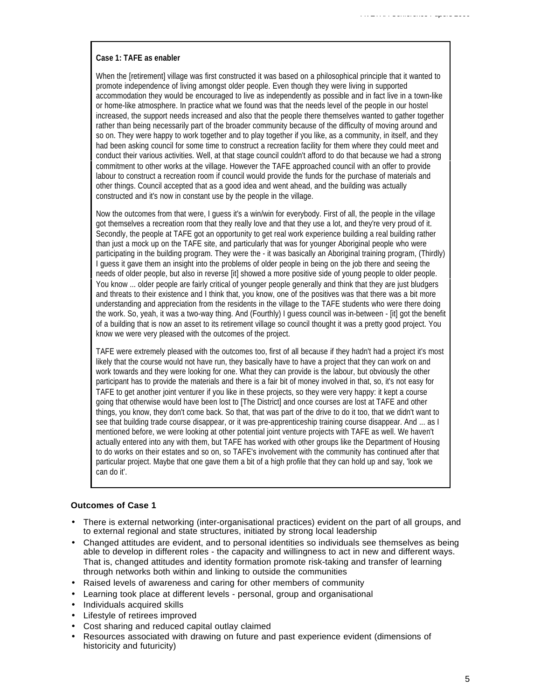#### **Case 1: TAFE as enabler**

When the [retirement] village was first constructed it was based on a philosophical principle that it wanted to promote independence of living amongst older people. Even though they were living in supported accommodation they would be encouraged to live as independently as possible and in fact live in a town-like or home-like atmosphere. In practice what we found was that the needs level of the people in our hostel increased, the support needs increased and also that the people there themselves wanted to gather together rather than being necessarily part of the broader community because of the difficulty of moving around and so on. They were happy to work together and to play together if you like, as a community, in itself, and they had been asking council for some time to construct a recreation facility for them where they could meet and conduct their various activities. Well, at that stage council couldn't afford to do that because we had a strong commitment to other works at the village. However the TAFE approached council with an offer to provide labour to construct a recreation room if council would provide the funds for the purchase of materials and other things. Council accepted that as a good idea and went ahead, and the building was actually constructed and it's now in constant use by the people in the village.

Now the outcomes from that were, I guess it's a win/win for everybody. First of all, the people in the village got themselves a recreation room that they really love and that they use a lot, and they're very proud of it. Secondly, the people at TAFE got an opportunity to get real work experience building a real building rather than just a mock up on the TAFE site, and particularly that was for younger Aboriginal people who were participating in the building program. They were the - it was basically an Aboriginal training program, (Thirdly) I guess it gave them an insight into the problems of older people in being on the job there and seeing the needs of older people, but also in reverse [it] showed a more positive side of young people to older people. You know ... older people are fairly critical of younger people generally and think that they are just bludgers and threats to their existence and I think that, you know, one of the positives was that there was a bit more understanding and appreciation from the residents in the village to the TAFE students who were there doing the work. So, yeah, it was a two-way thing. And (Fourthly) I guess council was in-between - [it] got the benefit of a building that is now an asset to its retirement village so council thought it was a pretty good project. You know we were very pleased with the outcomes of the project.

TAFE were extremely pleased with the outcomes too, first of all because if they hadn't had a project it's most likely that the course would not have run, they basically have to have a project that they can work on and work towards and they were looking for one. What they can provide is the labour, but obviously the other participant has to provide the materials and there is a fair bit of money involved in that, so, it's not easy for TAFE to get another joint venturer if you like in these projects, so they were very happy: it kept a course going that otherwise would have been lost to [The District] and once courses are lost at TAFE and other things, you know, they don't come back. So that, that was part of the drive to do it too, that we didn't want to see that building trade course disappear, or it was pre-apprenticeship training course disappear. And ... as I mentioned before, we were looking at other potential joint venture projects with TAFE as well. We haven't actually entered into any with them, but TAFE has worked with other groups like the Department of Housing to do works on their estates and so on, so TAFE's involvement with the community has continued after that particular project. Maybe that one gave them a bit of a high profile that they can hold up and say, 'look we can do it'.

#### **Outcomes of Case 1**

- There is external networking (inter-organisational practices) evident on the part of all groups, and to external regional and state structures, initiated by strong local leadership
- Changed attitudes are evident, and to personal identities so individuals see themselves as being able to develop in different roles - the capacity and willingness to act in new and different ways. That is, changed attitudes and identity formation promote risk-taking and transfer of learning through networks both within and linking to outside the communities
- Raised levels of awareness and caring for other members of community
- Learning took place at different levels personal, group and organisational
- Individuals acquired skills
- Lifestyle of retirees improved
- Cost sharing and reduced capital outlay claimed
- Resources associated with drawing on future and past experience evident (dimensions of historicity and futuricity)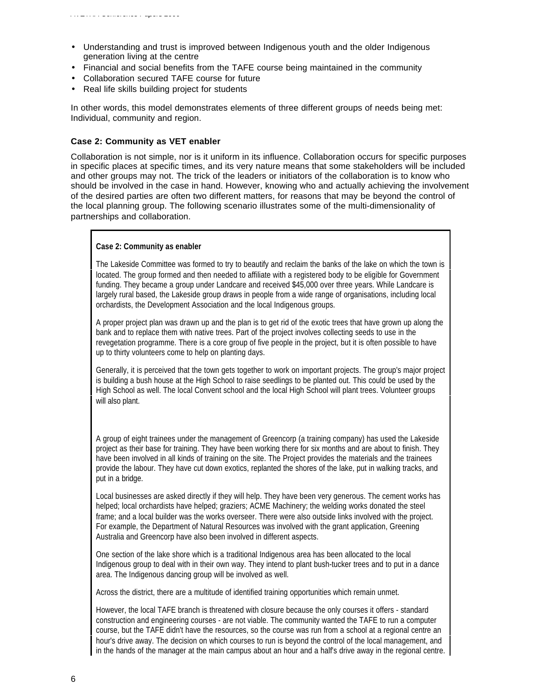- Understanding and trust is improved between Indigenous youth and the older Indigenous generation living at the centre
- Financial and social benefits from the TAFE course being maintained in the community
- Collaboration secured TAFE course for future
- Real life skills building project for students

In other words, this model demonstrates elements of three different groups of needs being met: Individual, community and region.

#### **Case 2: Community as VET enabler**

Collaboration is not simple, nor is it uniform in its influence. Collaboration occurs for specific purposes in specific places at specific times, and its very nature means that some stakeholders will be included and other groups may not. The trick of the leaders or initiators of the collaboration is to know who should be involved in the case in hand. However, knowing who and actually achieving the involvement of the desired parties are often two different matters, for reasons that may be beyond the control of the local planning group. The following scenario illustrates some of the multi-dimensionality of partnerships and collaboration.

#### **Case 2: Community as enabler**

The Lakeside Committee was formed to try to beautify and reclaim the banks of the lake on which the town is located. The group formed and then needed to affiliate with a registered body to be eligible for Government funding. They became a group under Landcare and received \$45,000 over three years. While Landcare is largely rural based, the Lakeside group draws in people from a wide range of organisations, including local orchardists, the Development Association and the local Indigenous groups.

A proper project plan was drawn up and the plan is to get rid of the exotic trees that have grown up along the bank and to replace them with native trees. Part of the project involves collecting seeds to use in the revegetation programme. There is a core group of five people in the project, but it is often possible to have up to thirty volunteers come to help on planting days.

Generally, it is perceived that the town gets together to work on important projects. The group's major project is building a bush house at the High School to raise seedlings to be planted out. This could be used by the High School as well. The local Convent school and the local High School will plant trees. Volunteer groups will also plant.

A group of eight trainees under the management of Greencorp (a training company) has used the Lakeside project as their base for training. They have been working there for six months and are about to finish. They have been involved in all kinds of training on the site. The Project provides the materials and the trainees provide the labour. They have cut down exotics, replanted the shores of the lake, put in walking tracks, and put in a bridge.

Local businesses are asked directly if they will help. They have been very generous. The cement works has helped; local orchardists have helped; graziers; ACME Machinery; the welding works donated the steel frame; and a local builder was the works overseer. There were also outside links involved with the project. For example, the Department of Natural Resources was involved with the grant application, Greening Australia and Greencorp have also been involved in different aspects.

One section of the lake shore which is a traditional Indigenous area has been allocated to the local Indigenous group to deal with in their own way. They intend to plant bush-tucker trees and to put in a dance area. The Indigenous dancing group will be involved as well.

Across the district, there are a multitude of identified training opportunities which remain unmet.

However, the local TAFE branch is threatened with closure because the only courses it offers - standard construction and engineering courses - are not viable. The community wanted the TAFE to run a computer course, but the TAFE didn't have the resources, so the course was run from a school at a regional centre an hour's drive away. The decision on which courses to run is beyond the control of the local management, and in the hands of the manager at the main campus about an hour and a half's drive away in the regional centre.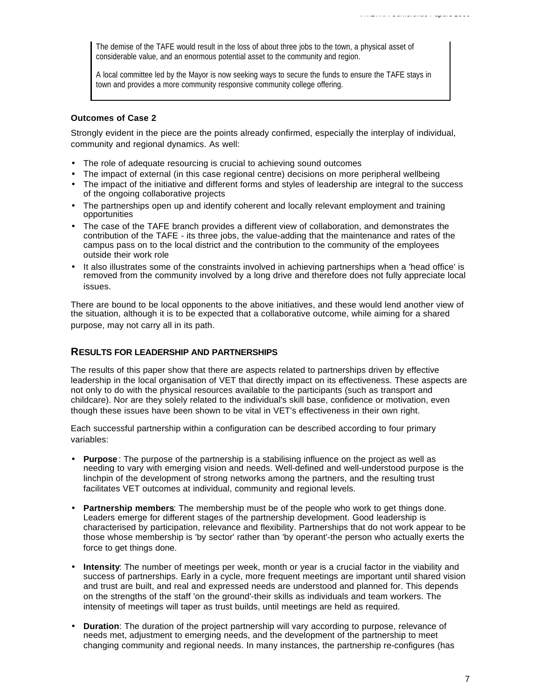The demise of the TAFE would result in the loss of about three jobs to the town, a physical asset of considerable value, and an enormous potential asset to the community and region.

A local committee led by the Mayor is now seeking ways to secure the funds to ensure the TAFE stays in town and provides a more community responsive community college offering.

#### **Outcomes of Case 2**

Strongly evident in the piece are the points already confirmed, especially the interplay of individual, community and regional dynamics. As well:

- The role of adequate resourcing is crucial to achieving sound outcomes
- The impact of external (in this case regional centre) decisions on more peripheral wellbeing
- The impact of the initiative and different forms and styles of leadership are integral to the success of the ongoing collaborative projects
- The partnerships open up and identify coherent and locally relevant employment and training opportunities
- The case of the TAFE branch provides a different view of collaboration, and demonstrates the contribution of the TAFE - its three jobs, the value-adding that the maintenance and rates of the campus pass on to the local district and the contribution to the community of the employees outside their work role
- It also illustrates some of the constraints involved in achieving partnerships when a 'head office' is removed from the community involved by a long drive and therefore does not fully appreciate local issues.

There are bound to be local opponents to the above initiatives, and these would lend another view of the situation, although it is to be expected that a collaborative outcome, while aiming for a shared purpose, may not carry all in its path.

#### **RESULTS FOR LEADERSHIP AND PARTNERSHIPS**

The results of this paper show that there are aspects related to partnerships driven by effective leadership in the local organisation of VET that directly impact on its effectiveness. These aspects are not only to do with the physical resources available to the participants (such as transport and childcare). Nor are they solely related to the individual's skill base, confidence or motivation, even though these issues have been shown to be vital in VET's effectiveness in their own right.

Each successful partnership within a configuration can be described according to four primary variables:

- **Purpose** : The purpose of the partnership is a stabilising influence on the project as well as needing to vary with emerging vision and needs. Well-defined and well-understood purpose is the linchpin of the development of strong networks among the partners, and the resulting trust facilitates VET outcomes at individual, community and regional levels.
- **Partnership members**: The membership must be of the people who work to get things done. Leaders emerge for different stages of the partnership development. Good leadership is characterised by participation, relevance and flexibility. Partnerships that do not work appear to be those whose membership is 'by sector' rather than 'by operant'-the person who actually exerts the force to get things done.
- **Intensity**: The number of meetings per week, month or year is a crucial factor in the viability and success of partnerships. Early in a cycle, more frequent meetings are important until shared vision and trust are built, and real and expressed needs are understood and planned for. This depends on the strengths of the staff 'on the ground'-their skills as individuals and team workers. The intensity of meetings will taper as trust builds, until meetings are held as required.
- **Duration**: The duration of the project partnership will vary according to purpose, relevance of needs met, adjustment to emerging needs, and the development of the partnership to meet changing community and regional needs. In many instances, the partnership re-configures (has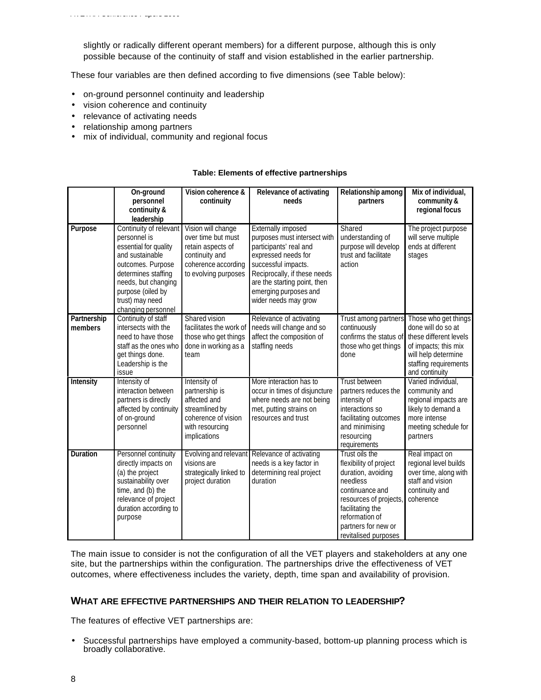slightly or radically different operant members) for a different purpose, although this is only possible because of the continuity of staff and vision established in the earlier partnership.

These four variables are then defined according to five dimensions (see Table below):

- on-ground personnel continuity and leadership
- vision coherence and continuity
- relevance of activating needs
- relationship among partners
- mix of individual, community and regional focus

#### **Table: Elements of effective partnerships**

|                        | On-ground<br>personnel<br>continuity &<br>leadership                                                                                                                                                                | Vision coherence &<br>continuity                                                                                               | Relevance of activating<br>needs                                                                                                                                                                                                            | Relationship among<br>partners                                                                                                                                                                              | Mix of individual,<br>community &<br>regional focus                                                                                                            |
|------------------------|---------------------------------------------------------------------------------------------------------------------------------------------------------------------------------------------------------------------|--------------------------------------------------------------------------------------------------------------------------------|---------------------------------------------------------------------------------------------------------------------------------------------------------------------------------------------------------------------------------------------|-------------------------------------------------------------------------------------------------------------------------------------------------------------------------------------------------------------|----------------------------------------------------------------------------------------------------------------------------------------------------------------|
| Purpose                | Continuity of relevant<br>personnel is<br>essential for quality<br>and sustainable<br>outcomes. Purpose<br>determines staffing<br>needs, but changing<br>purpose (oiled by<br>trust) may need<br>changing personnel | Vision will change<br>over time but must<br>retain aspects of<br>continuity and<br>coherence according<br>to evolving purposes | Externally imposed<br>purposes must intersect with<br>participants' real and<br>expressed needs for<br>successful impacts.<br>Reciprocally, if these needs<br>are the starting point, then<br>emerging purposes and<br>wider needs may grow | Shared<br>understanding of<br>purpose will develop<br>trust and facilitate<br>action                                                                                                                        | The project purpose<br>will serve multiple<br>ends at different<br>stages                                                                                      |
| Partnership<br>members | Continuity of staff<br>intersects with the<br>need to have those<br>staff as the ones who<br>get things done.<br>Leadership is the<br>issue                                                                         | Shared vision<br>facilitates the work of<br>those who get things<br>done in working as a<br>team                               | Relevance of activating<br>needs will change and so<br>affect the composition of<br>staffing needs                                                                                                                                          | Trust among partners<br>continuously<br>confirms the status of<br>those who get things<br>done                                                                                                              | Those who get things<br>done will do so at<br>these different levels<br>of impacts; this mix<br>will help determine<br>staffing requirements<br>and continuity |
| <b>Intensity</b>       | Intensity of<br>interaction between<br>partners is directly<br>affected by continuity<br>of on-ground<br>personnel                                                                                                  | Intensity of<br>partnership is<br>affected and<br>streamlined by<br>coherence of vision<br>with resourcing<br>implications     | More interaction has to<br>occur in times of disjuncture<br>where needs are not being<br>met, putting strains on<br>resources and trust                                                                                                     | <b>Trust between</b><br>partners reduces the<br>intensity of<br>interactions so<br>facilitating outcomes<br>and minimising<br>resourcing<br>requirements                                                    | Varied individual,<br>community and<br>regional impacts are<br>likely to demand a<br>more intense<br>meeting schedule for<br>partners                          |
| <b>Duration</b>        | Personnel continuity<br>directly impacts on<br>(a) the project<br>sustainability over<br>time, and (b) the<br>relevance of project<br>duration according to<br>purpose                                              | visions are<br>strategically linked to<br>project duration                                                                     | Evolving and relevant Relevance of activating<br>needs is a key factor in<br>determining real project<br>duration                                                                                                                           | Trust oils the<br>flexibility of project<br>duration, avoiding<br>needless<br>continuance and<br>resources of projects<br>facilitating the<br>reformation of<br>partners for new or<br>revitalised purposes | Real impact on<br>regional level builds<br>over time, along with<br>staff and vision<br>continuity and<br>coherence                                            |

The main issue to consider is not the configuration of all the VET players and stakeholders at any one site, but the partnerships within the configuration. The partnerships drive the effectiveness of VET outcomes, where effectiveness includes the variety, depth, time span and availability of provision.

#### **WHAT ARE EFFECTIVE PARTNERSHIPS AND THEIR RELATION TO LEADERSHIP?**

The features of effective VET partnerships are:

• Successful partnerships have employed a community-based, bottom-up planning process which is broadly collaborative.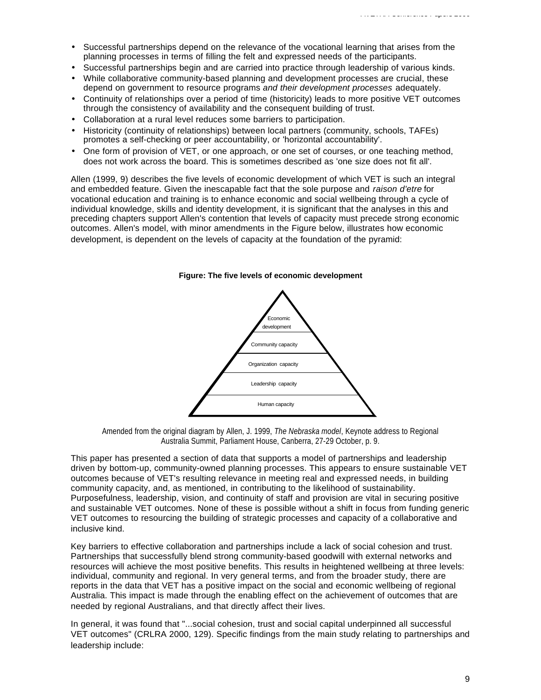- Successful partnerships depend on the relevance of the vocational learning that arises from the planning processes in terms of filling the felt and expressed needs of the participants.
- Successful partnerships begin and are carried into practice through leadership of various kinds.
- While collaborative community-based planning and development processes are crucial, these depend on government to resource programs *and their development processes* adequately.
- Continuity of relationships over a period of time (historicity) leads to more positive VET outcomes through the consistency of availability and the consequent building of trust.
- Collaboration at a rural level reduces some barriers to participation.
- Historicity (continuity of relationships) between local partners (community, schools, TAFEs) promotes a self-checking or peer accountability, or 'horizontal accountability'.
- One form of provision of VET, or one approach, or one set of courses, or one teaching method, does not work across the board. This is sometimes described as 'one size does not fit all'.

Allen (1999, 9) describes the five levels of economic development of which VET is such an integral and embedded feature. Given the inescapable fact that the sole purpose and *raison d'etre* for vocational education and training is to enhance economic and social wellbeing through a cycle of individual knowledge, skills and identity development, it is significant that the analyses in this and preceding chapters support Allen's contention that levels of capacity must precede strong economic outcomes. Allen's model, with minor amendments in the Figure below, illustrates how economic development, is dependent on the levels of capacity at the foundation of the pyramid:



#### **Figure: The five levels of economic development**

Amended from the original diagram by Allen, J. 1999, *The Nebraska model*, Keynote address to Regional Australia Summit, Parliament House, Canberra, 27-29 October, p. 9.

This paper has presented a section of data that supports a model of partnerships and leadership driven by bottom-up, community-owned planning processes. This appears to ensure sustainable VET outcomes because of VET's resulting relevance in meeting real and expressed needs, in building community capacity, and, as mentioned, in contributing to the likelihood of sustainability. Purposefulness, leadership, vision, and continuity of staff and provision are vital in securing positive and sustainable VET outcomes. None of these is possible without a shift in focus from funding generic VET outcomes to resourcing the building of strategic processes and capacity of a collaborative and inclusive kind.

Key barriers to effective collaboration and partnerships include a lack of social cohesion and trust. Partnerships that successfully blend strong community-based goodwill with external networks and resources will achieve the most positive benefits. This results in heightened wellbeing at three levels: individual, community and regional. In very general terms, and from the broader study, there are reports in the data that VET has a positive impact on the social and economic wellbeing of regional Australia. This impact is made through the enabling effect on the achievement of outcomes that are needed by regional Australians, and that directly affect their lives.

In general, it was found that "...social cohesion, trust and social capital underpinned all successful VET outcomes" (CRLRA 2000, 129). Specific findings from the main study relating to partnerships and leadership include: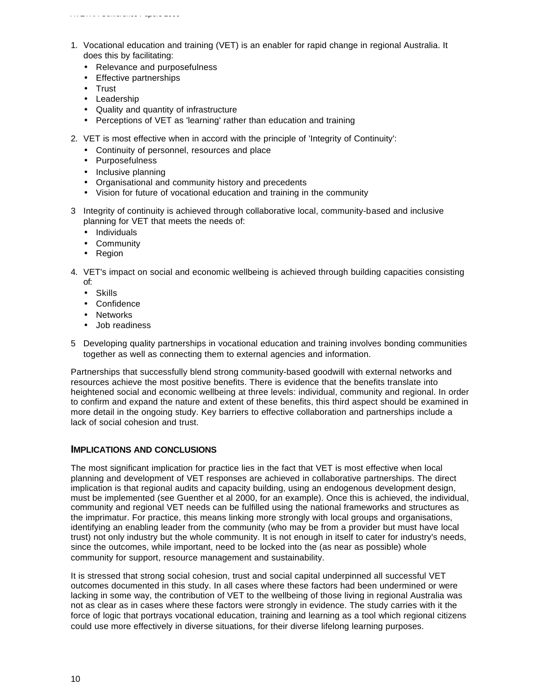- 1. Vocational education and training (VET) is an enabler for rapid change in regional Australia. It does this by facilitating:
	- Relevance and purposefulness
	- Effective partnerships
	- Trust
	- Leadership
	- Quality and quantity of infrastructure
	- Perceptions of VET as 'learning' rather than education and training
- 2. VET is most effective when in accord with the principle of 'Integrity of Continuity':
	- Continuity of personnel, resources and place
	- Purposefulness
	- Inclusive planning
	- Organisational and community history and precedents
	- Vision for future of vocational education and training in the community
- 3 Integrity of continuity is achieved through collaborative local, community-based and inclusive planning for VET that meets the needs of:
	- Individuals
	- Community
	- Region
- 4. VET's impact on social and economic wellbeing is achieved through building capacities consisting of:
	- Skills
	- Confidence
	- Networks
	- Job readiness
- 5 Developing quality partnerships in vocational education and training involves bonding communities together as well as connecting them to external agencies and information.

Partnerships that successfully blend strong community-based goodwill with external networks and resources achieve the most positive benefits. There is evidence that the benefits translate into heightened social and economic wellbeing at three levels: individual, community and regional. In order to confirm and expand the nature and extent of these benefits, this third aspect should be examined in more detail in the ongoing study. Key barriers to effective collaboration and partnerships include a lack of social cohesion and trust.

## **IMPLICATIONS AND CONCLUSIONS**

The most significant implication for practice lies in the fact that VET is most effective when local planning and development of VET responses are achieved in collaborative partnerships. The direct implication is that regional audits and capacity building, using an endogenous development design, must be implemented (see Guenther et al 2000, for an example). Once this is achieved, the individual, community and regional VET needs can be fulfilled using the national frameworks and structures as the imprimatur. For practice, this means linking more strongly with local groups and organisations, identifying an enabling leader from the community (who may be from a provider but must have local trust) not only industry but the whole community. It is not enough in itself to cater for industry's needs, since the outcomes, while important, need to be locked into the (as near as possible) whole community for support, resource management and sustainability.

It is stressed that strong social cohesion, trust and social capital underpinned all successful VET outcomes documented in this study. In all cases where these factors had been undermined or were lacking in some way, the contribution of VET to the wellbeing of those living in regional Australia was not as clear as in cases where these factors were strongly in evidence. The study carries with it the force of logic that portrays vocational education, training and learning as a tool which regional citizens could use more effectively in diverse situations, for their diverse lifelong learning purposes.